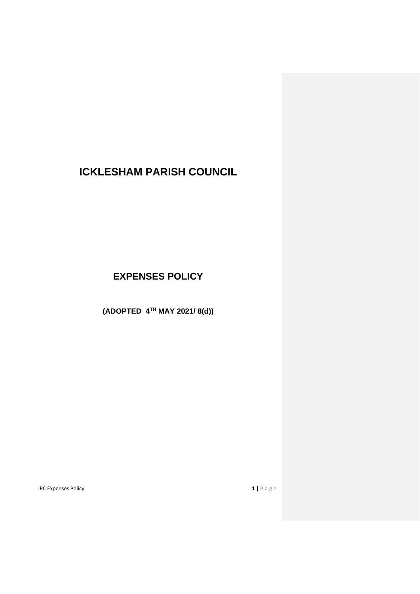# **ICKLESHAM PARISH COUNCIL**

**EXPENSES POLICY**

**(ADOPTED 4TH MAY 2021/ 8(d))**

**IPC Expenses Policy 1 |**  $P$  a g e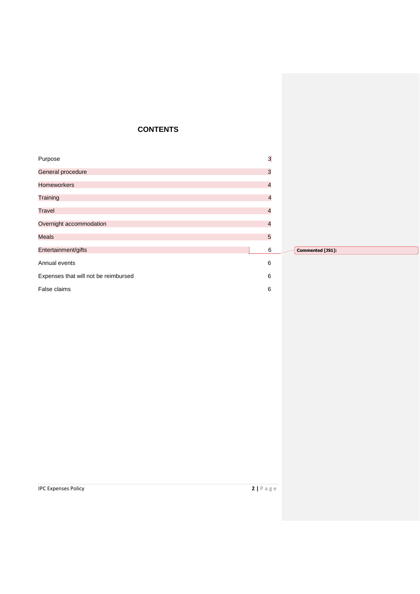# **CONTENTS**

| Purpose                              | $3\overline{)}$ |                  |
|--------------------------------------|-----------------|------------------|
| General procedure                    | $\mathbf{3}$    |                  |
| <b>Homeworkers</b>                   | $\overline{4}$  |                  |
| Training                             | $\overline{a}$  |                  |
| <b>Travel</b>                        | $\overline{4}$  |                  |
| Overnight accommodation              | $\overline{a}$  |                  |
| <b>Meals</b>                         | $\overline{5}$  |                  |
| Entertainment/gifts                  | 6               | Commented [JS1]: |
| Annual events                        | 6               |                  |
| Expenses that will not be reimbursed | 6               |                  |
| False claims                         | 6               |                  |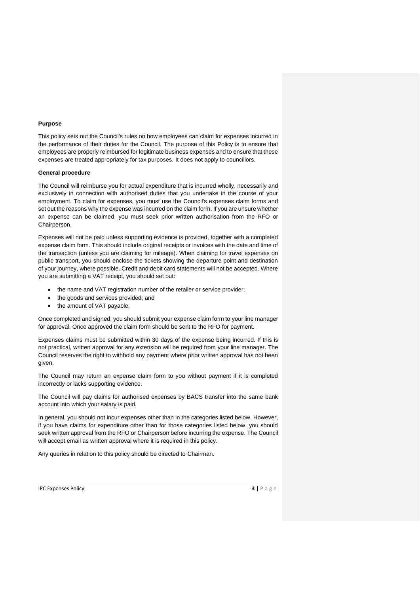#### **Purpose**

This policy sets out the Council's rules on how employees can claim for expenses incurred in the performance of their duties for the Council. The purpose of this Policy is to ensure that employees are properly reimbursed for legitimate business expenses and to ensure that these expenses are treated appropriately for tax purposes. It does not apply to councillors.

# **General procedure**

The Council will reimburse you for actual expenditure that is incurred wholly, necessarily and exclusively in connection with authorised duties that you undertake in the course of your employment. To claim for expenses, you must use the Council's expenses claim forms and set out the reasons why the expense was incurred on the claim form. If you are unsure whether an expense can be claimed, you must seek prior written authorisation from the RFO or Chairperson.

Expenses will not be paid unless supporting evidence is provided, together with a completed expense claim form. This should include original receipts or invoices with the date and time of the transaction (unless you are claiming for mileage). When claiming for travel expenses on public transport, you should enclose the tickets showing the departure point and destination of your journey, where possible. Credit and debit card statements will not be accepted. Where you are submitting a VAT receipt, you should set out:

- the name and VAT registration number of the retailer or service provider;
- the goods and services provided; and
- the amount of VAT payable.

Once completed and signed, you should submit your expense claim form to your line manager for approval. Once approved the claim form should be sent to the RFO for payment.

Expenses claims must be submitted within 30 days of the expense being incurred. If this is not practical, written approval for any extension will be required from your line manager. The Council reserves the right to withhold any payment where prior written approval has not been given.

The Council may return an expense claim form to you without payment if it is completed incorrectly or lacks supporting evidence.

The Council will pay claims for authorised expenses by BACS transfer into the same bank account into which your salary is paid.

In general, you should not incur expenses other than in the categories listed below. However, if you have claims for expenditure other than for those categories listed below, you should seek written approval from the RFO or Chairperson before incurring the expense. The Council will accept email as written approval where it is required in this policy.

Any queries in relation to this policy should be directed to Chairman.

IPC Expenses Policy **3 |** P a g e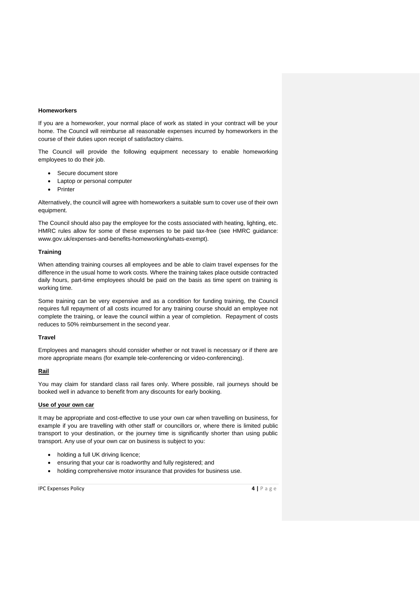#### **Homeworkers**

If you are a homeworker, your normal place of work as stated in your contract will be your home. The Council will reimburse all reasonable expenses incurred by homeworkers in the course of their duties upon receipt of satisfactory claims.

The Council will provide the following equipment necessary to enable homeworking employees to do their job.

- Secure document store
- Laptop or personal computer
- **Printer**

Alternatively, the council will agree with homeworkers a suitable sum to cover use of their own equipment.

The Council should also pay the employee for the costs associated with heating, lighting, etc. HMRC rules allow for some of these expenses to be paid tax-free (see HMRC guidance: www.gov.uk/expenses-and-benefits-homeworking/whats-exempt).

# **Training**

When attending training courses all employees and be able to claim travel expenses for the difference in the usual home to work costs. Where the training takes place outside contracted daily hours, part-time employees should be paid on the basis as time spent on training is working time.

Some training can be very expensive and as a condition for funding training, the Council requires full repayment of all costs incurred for any training course should an employee not complete the training, or leave the council within a year of completion. Repayment of costs reduces to 50% reimbursement in the second year.

### **Travel**

Employees and managers should consider whether or not travel is necessary or if there are more appropriate means (for example tele-conferencing or video-conferencing).

# **Rail**

You may claim for standard class rail fares only. Where possible, rail journeys should be booked well in advance to benefit from any discounts for early booking.

#### **Use of your own car**

It may be appropriate and cost-effective to use your own car when travelling on business, for example if you are travelling with other staff or councillors or, where there is limited public transport to your destination, or the journey time is significantly shorter than using public transport. Any use of your own car on business is subject to you:

- holding a full UK driving licence;
- ensuring that your car is roadworthy and fully registered; and
- holding comprehensive motor insurance that provides for business use.

IPC Expenses Policy **4 |** P a g e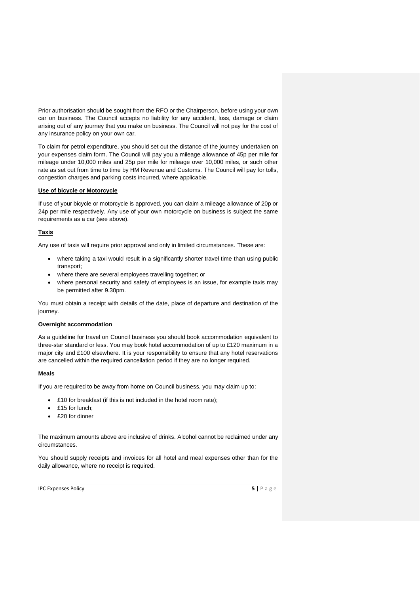Prior authorisation should be sought from the RFO or the Chairperson, before using your own car on business. The Council accepts no liability for any accident, loss, damage or claim arising out of any journey that you make on business. The Council will not pay for the cost of any insurance policy on your own car.

To claim for petrol expenditure, you should set out the distance of the journey undertaken on your expenses claim form. The Council will pay you a mileage allowance of 45p per mile for mileage under 10,000 miles and 25p per mile for mileage over 10,000 miles, or such other rate as set out from time to time by HM Revenue and Customs. The Council will pay for tolls, congestion charges and parking costs incurred, where applicable.

# **Use of bicycle or Motorcycle**

If use of your bicycle or motorcycle is approved, you can claim a mileage allowance of 20p or 24p per mile respectively. Any use of your own motorcycle on business is subject the same requirements as a car (see above).

# **Taxis**

Any use of taxis will require prior approval and only in limited circumstances. These are:

- where taking a taxi would result in a significantly shorter travel time than using public transport;
- where there are several employees travelling together; or
- where personal security and safety of employees is an issue, for example taxis may be permitted after 9.30pm.

You must obtain a receipt with details of the date, place of departure and destination of the journey.

#### **Overnight accommodation**

As a guideline for travel on Council business you should book accommodation equivalent to three-star standard or less. You may book hotel accommodation of up to £120 maximum in a major city and £100 elsewhere. It is your responsibility to ensure that any hotel reservations are cancelled within the required cancellation period if they are no longer required.

#### **Meals**

If you are required to be away from home on Council business, you may claim up to:

- £10 for breakfast (if this is not included in the hotel room rate);
- £15 for lunch;
- £20 for dinner

The maximum amounts above are inclusive of drinks. Alcohol cannot be reclaimed under any circumstances.

You should supply receipts and invoices for all hotel and meal expenses other than for the daily allowance, where no receipt is required.

IPC Expenses Policy **5 |** P a g e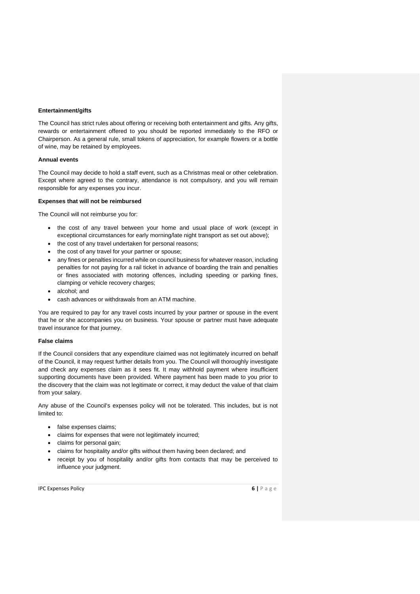#### **Entertainment/gifts**

The Council has strict rules about offering or receiving both entertainment and gifts. Any gifts, rewards or entertainment offered to you should be reported immediately to the RFO or Chairperson. As a general rule, small tokens of appreciation, for example flowers or a bottle of wine, may be retained by employees.

#### **Annual events**

The Council may decide to hold a staff event, such as a Christmas meal or other celebration. Except where agreed to the contrary, attendance is not compulsory, and you will remain responsible for any expenses you incur.

# **Expenses that will not be reimbursed**

The Council will not reimburse you for:

- the cost of any travel between your home and usual place of work (except in exceptional circumstances for early morning/late night transport as set out above);
- the cost of any travel undertaken for personal reasons;
- the cost of any travel for your partner or spouse;
- any fines or penalties incurred while on council business for whatever reason, including penalties for not paying for a rail ticket in advance of boarding the train and penalties or fines associated with motoring offences, including speeding or parking fines, clamping or vehicle recovery charges;
- alcohol; and
- cash advances or withdrawals from an ATM machine.

You are required to pay for any travel costs incurred by your partner or spouse in the event that he or she accompanies you on business. Your spouse or partner must have adequate travel insurance for that journey.

# **False claims**

If the Council considers that any expenditure claimed was not legitimately incurred on behalf of the Council, it may request further details from you. The Council will thoroughly investigate and check any expenses claim as it sees fit. It may withhold payment where insufficient supporting documents have been provided. Where payment has been made to you prior to the discovery that the claim was not legitimate or correct, it may deduct the value of that claim from your salary.

Any abuse of the Council's expenses policy will not be tolerated. This includes, but is not limited to:

- false expenses claims;
- claims for expenses that were not legitimately incurred;
- claims for personal gain;
- claims for hospitality and/or gifts without them having been declared; and
- receipt by you of hospitality and/or gifts from contacts that may be perceived to influence your judgment.

IPC Expenses Policy **6 |** P a g e